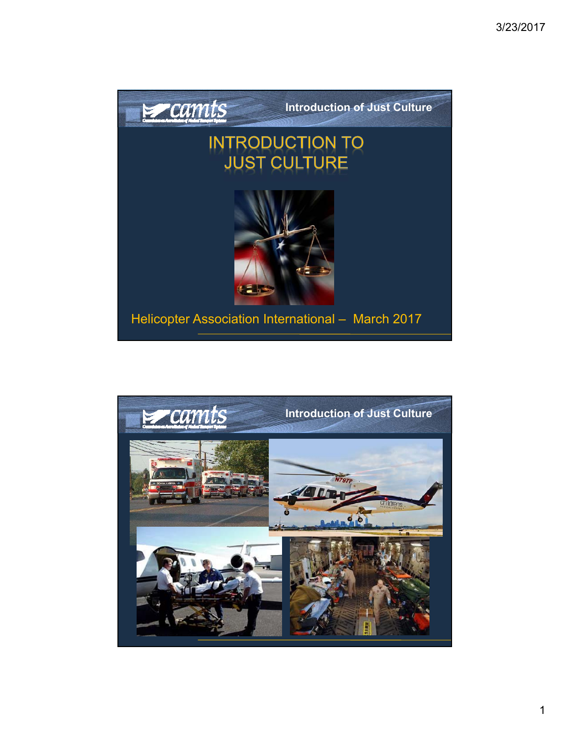

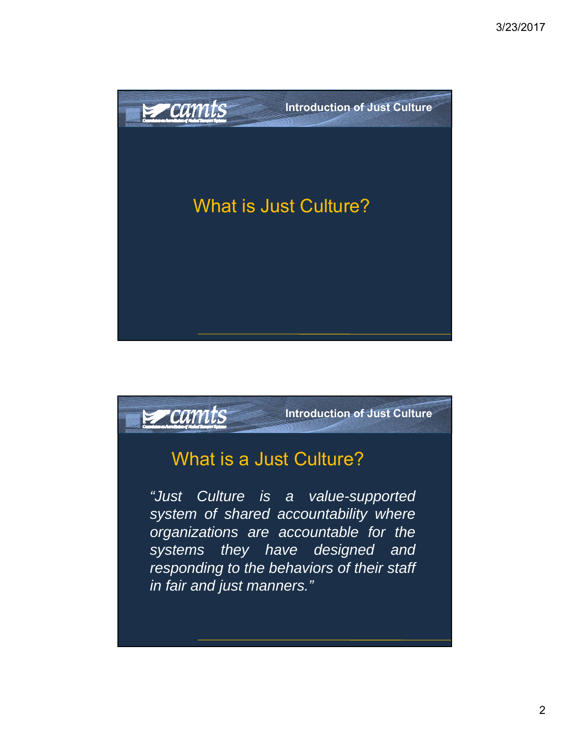

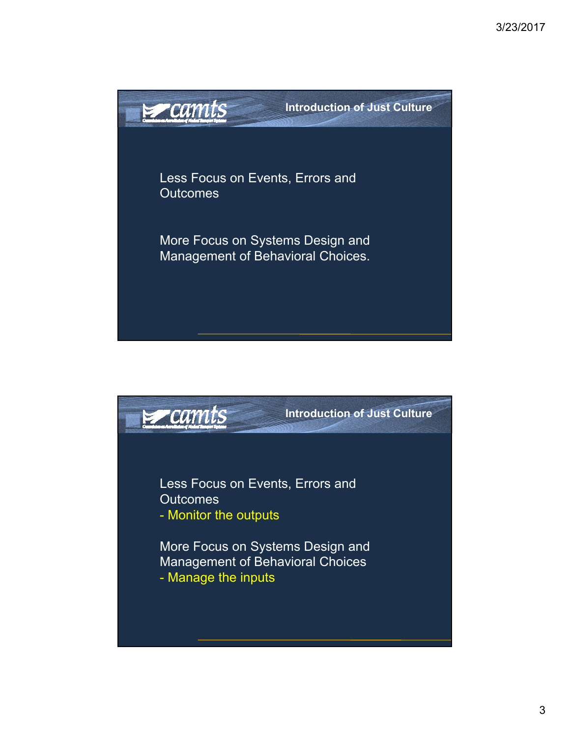

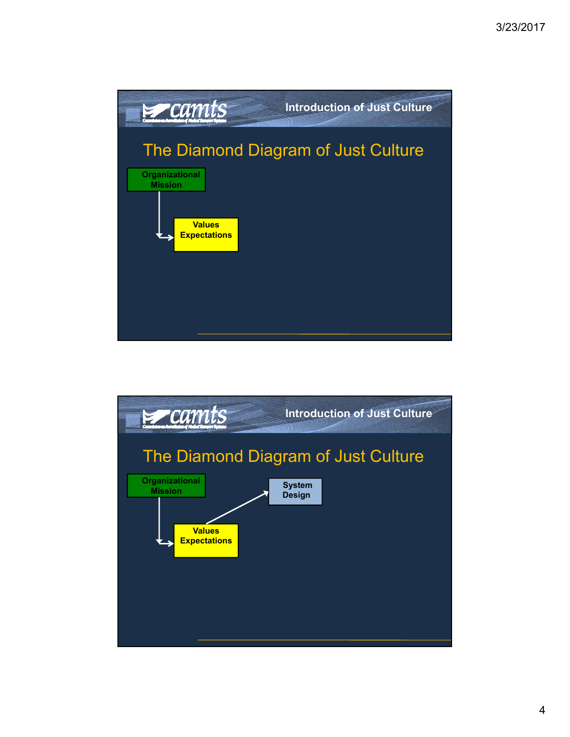

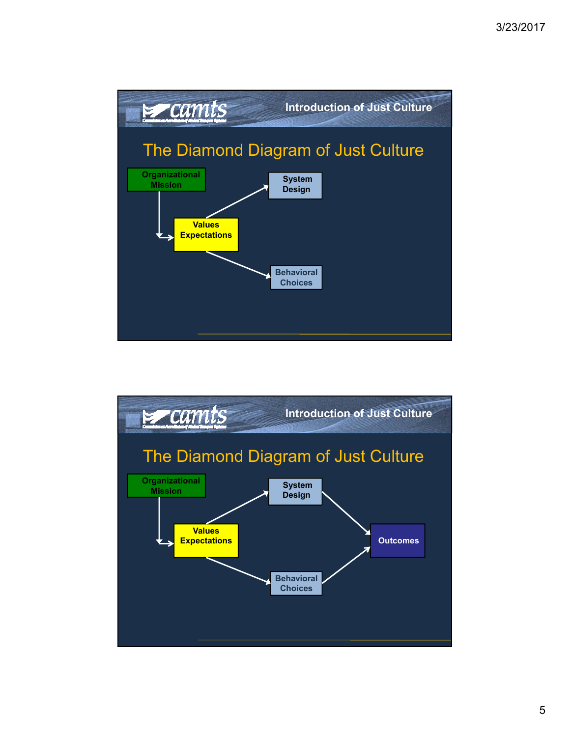

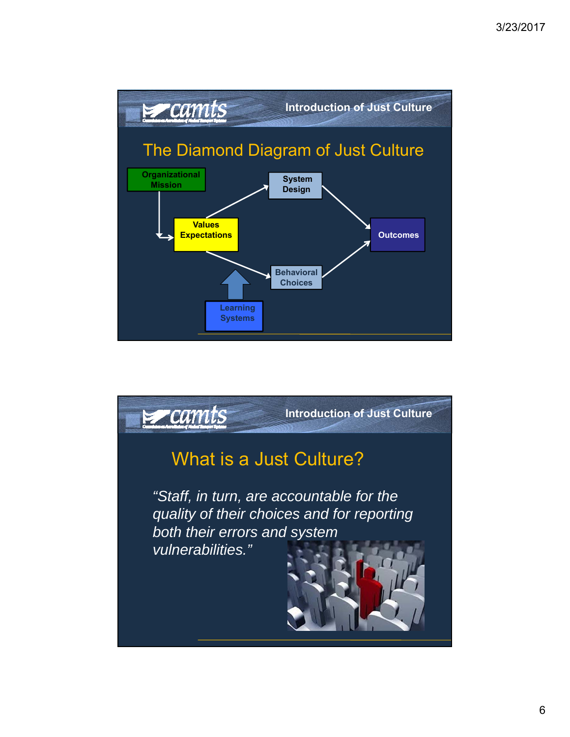

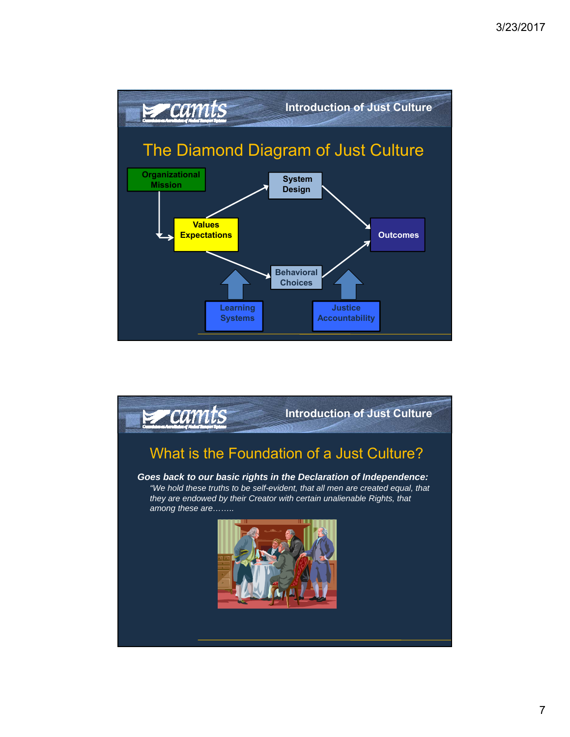

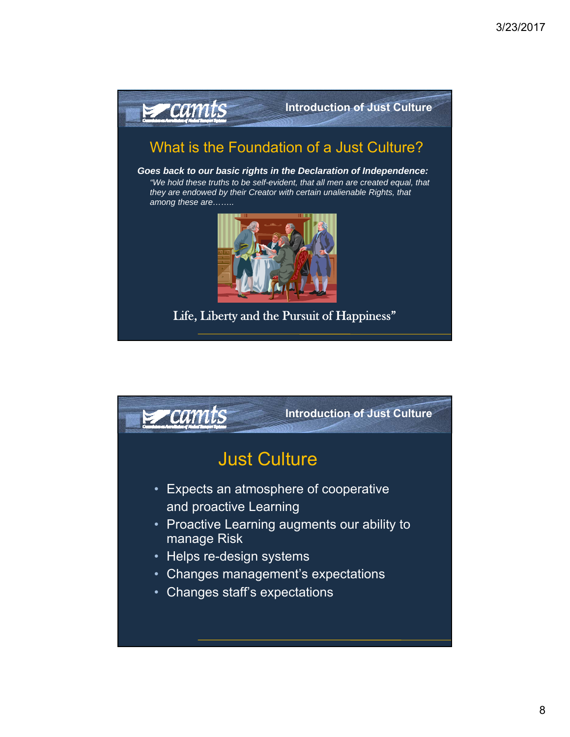

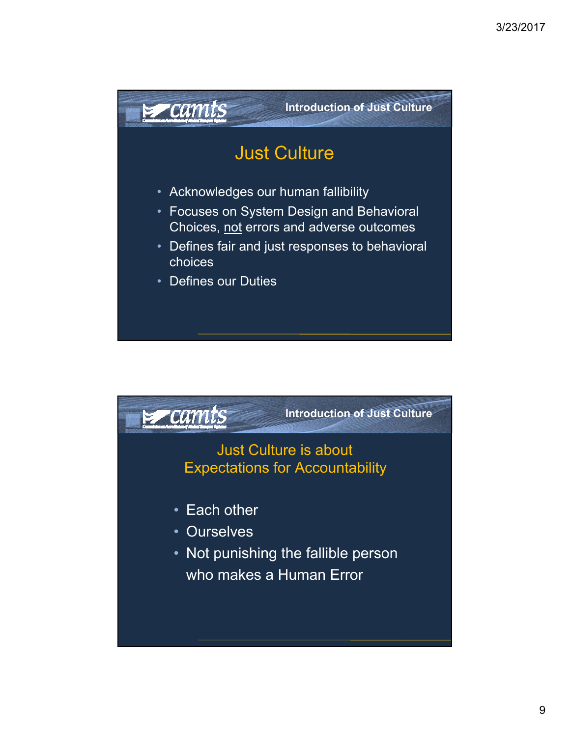

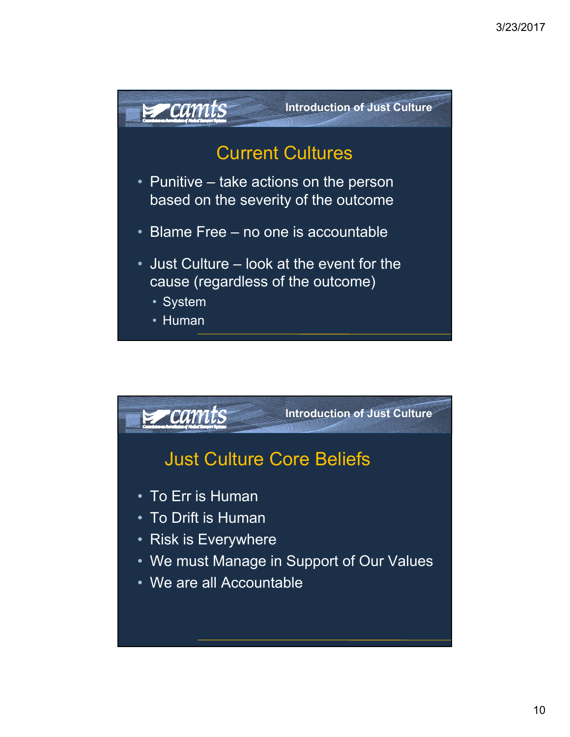

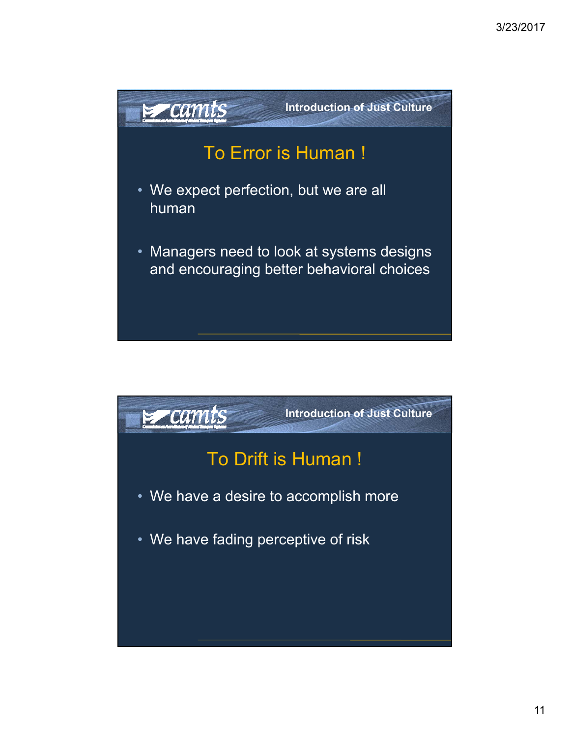

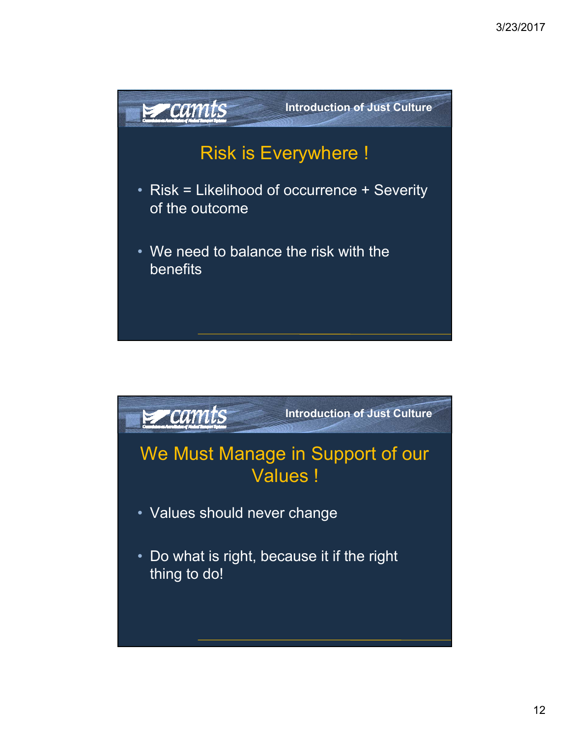

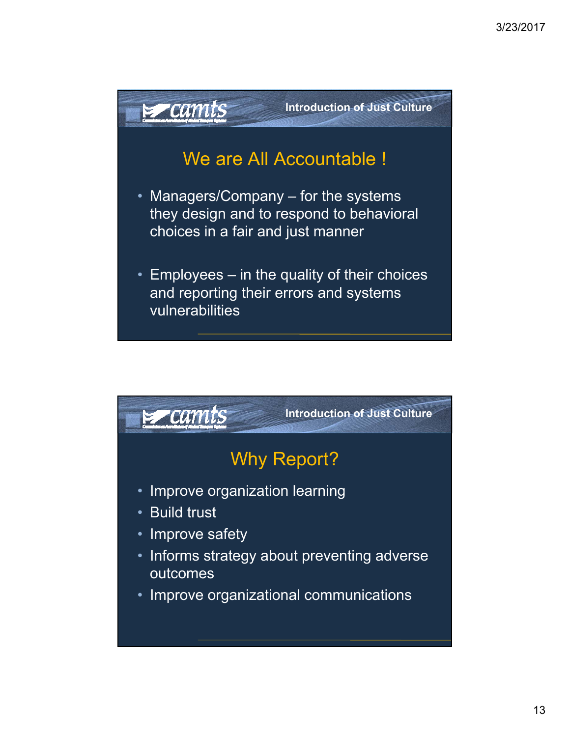

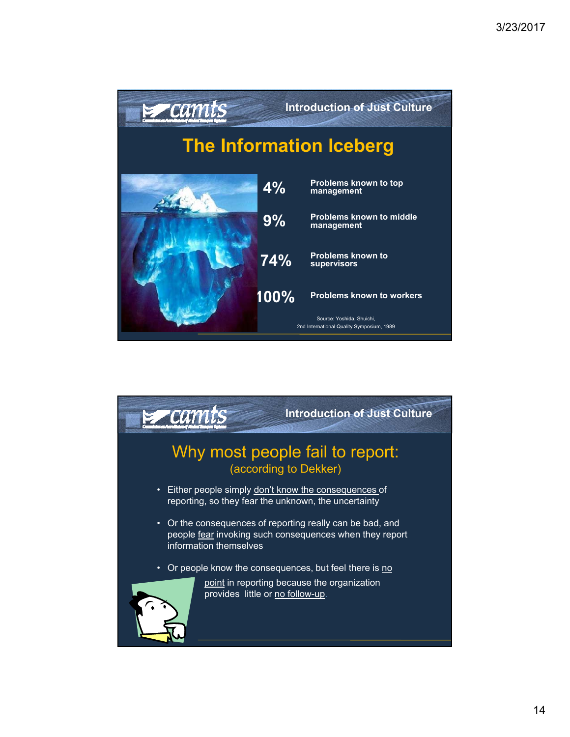

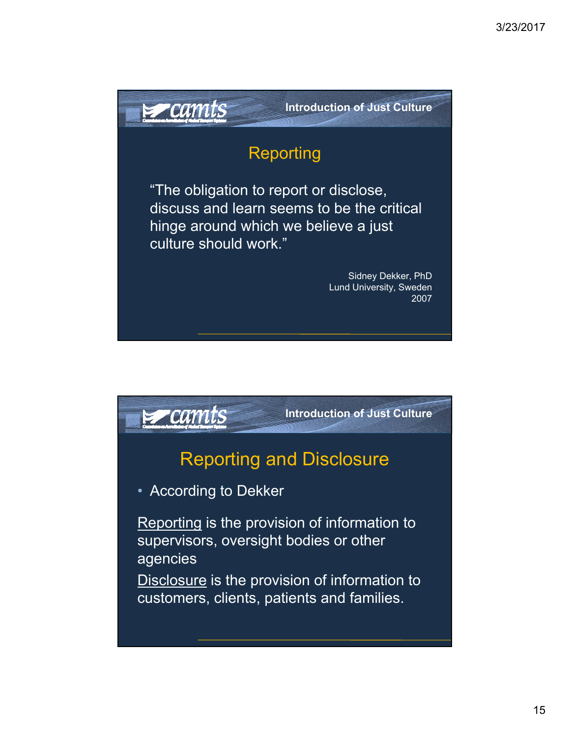

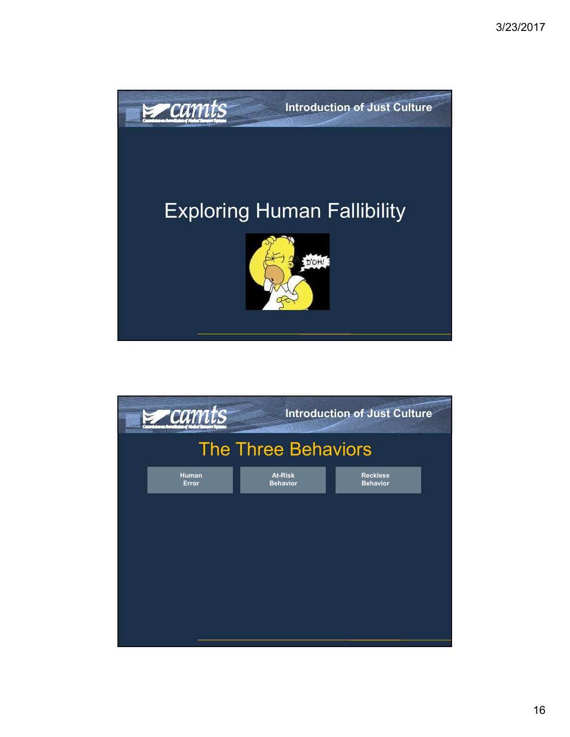

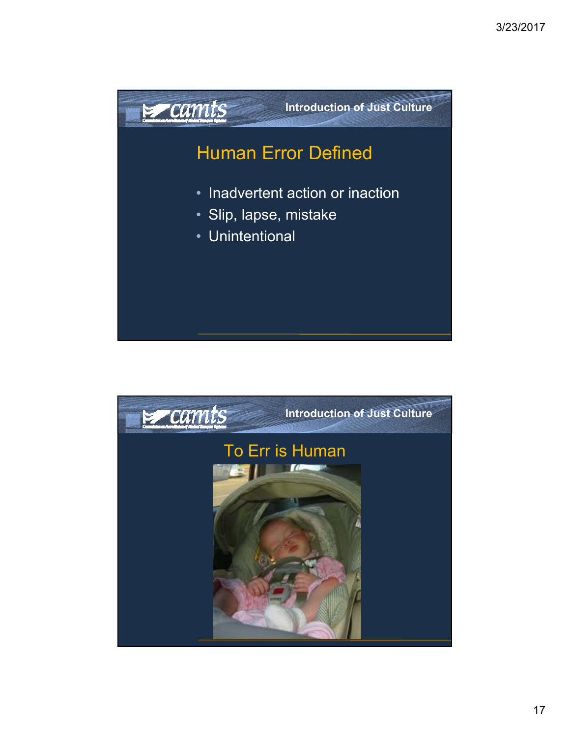

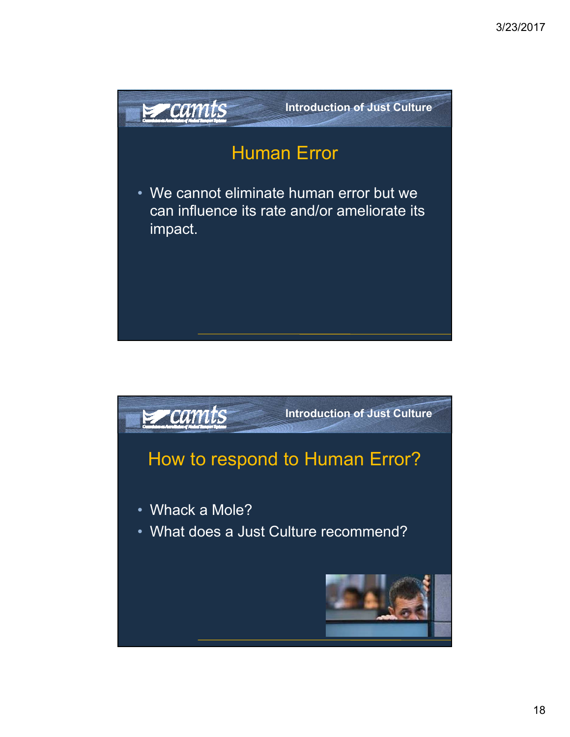

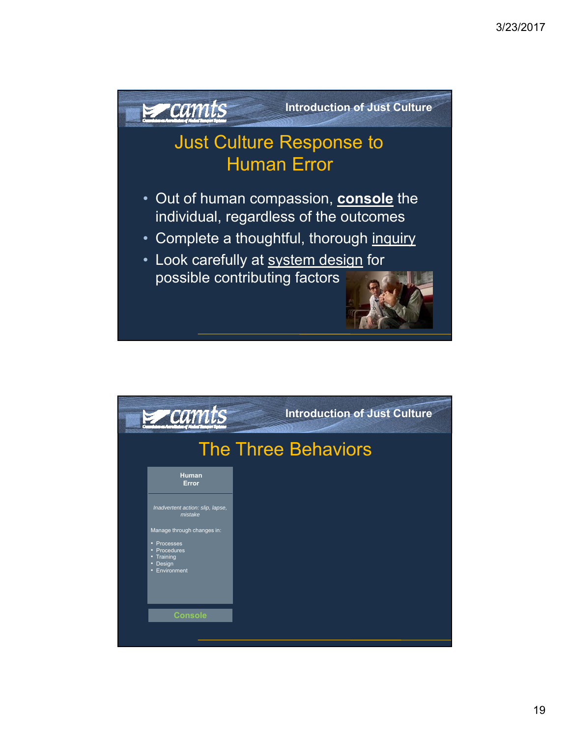

| $z$ camts                                                                 | <b>Introduction of Just Culture</b> |  |
|---------------------------------------------------------------------------|-------------------------------------|--|
| <b>The Three Behaviors</b>                                                |                                     |  |
| <b>Human</b><br>Error                                                     |                                     |  |
| Inadvertent action: slip, lapse,<br>mistake<br>Manage through changes in: |                                     |  |
| • Processes<br>• Procedures<br>• Training<br>• Design<br>• Environment    |                                     |  |
| <b>Console</b>                                                            |                                     |  |
|                                                                           |                                     |  |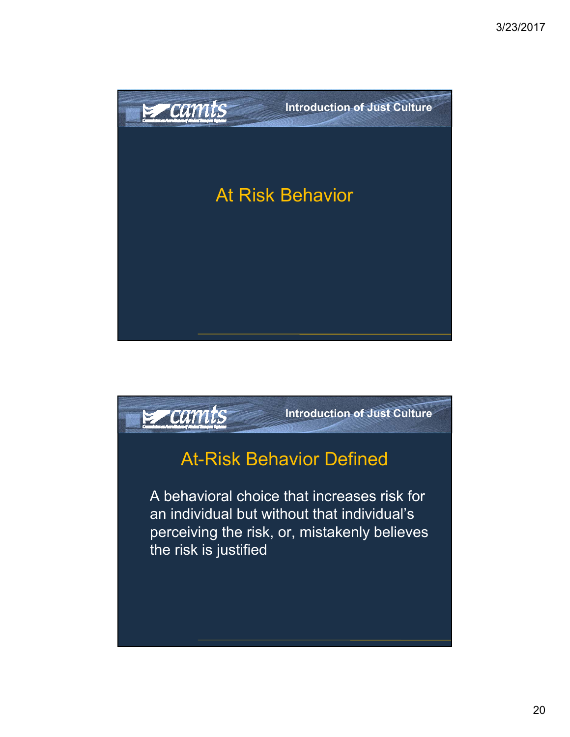

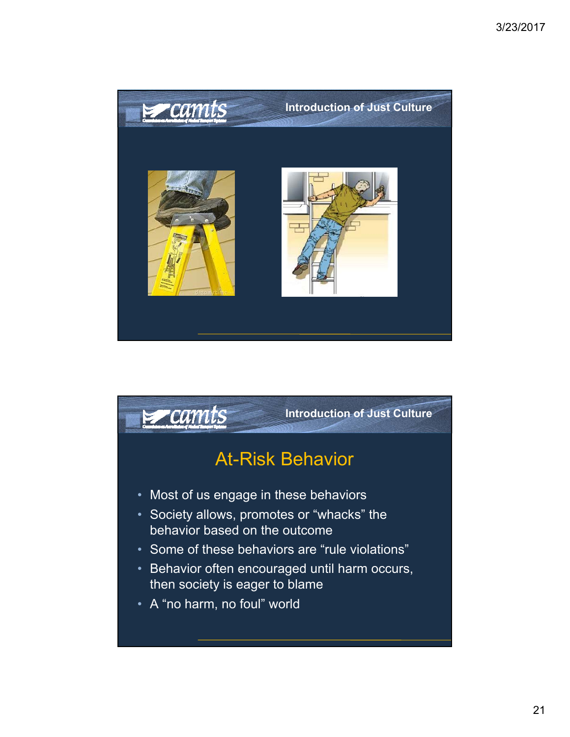

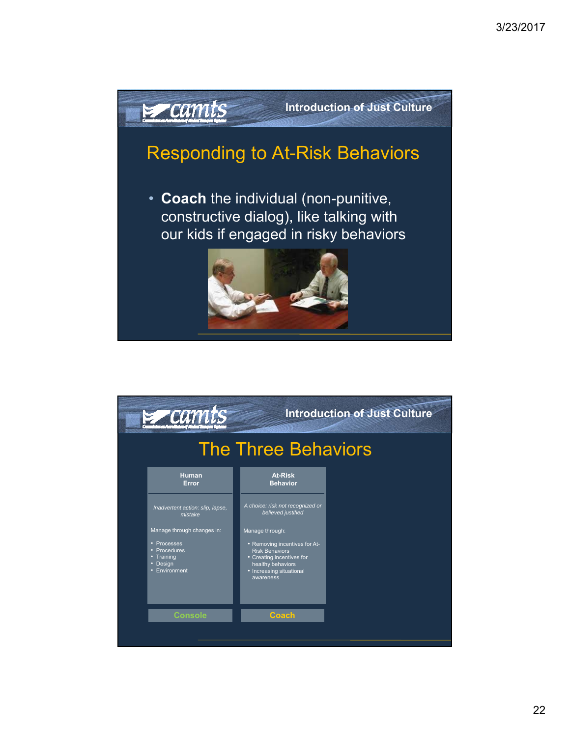

| $z$ camts                                                                                            |                                                                                                                                                                      | <b>Introduction of Just Culture</b> |  |
|------------------------------------------------------------------------------------------------------|----------------------------------------------------------------------------------------------------------------------------------------------------------------------|-------------------------------------|--|
| <b>The Three Behaviors</b>                                                                           |                                                                                                                                                                      |                                     |  |
| <b>Human</b><br>Error                                                                                | <b>At-Risk</b><br><b>Behavior</b>                                                                                                                                    |                                     |  |
| Inadvertent action: slip, lapse,<br>mistake                                                          | A choice: risk not recognized or<br>believed justified                                                                                                               |                                     |  |
| Manage through changes in:<br>• Processes<br>• Procedures<br>• Training<br>• Design<br>• Environment | Manage through:<br>• Removing incentives for At-<br><b>Risk Behaviors</b><br>• Creating incentives for<br>healthy behaviors<br>• Increasing situational<br>awareness |                                     |  |
| <b>Console</b>                                                                                       | <b>Coach</b>                                                                                                                                                         |                                     |  |
|                                                                                                      |                                                                                                                                                                      |                                     |  |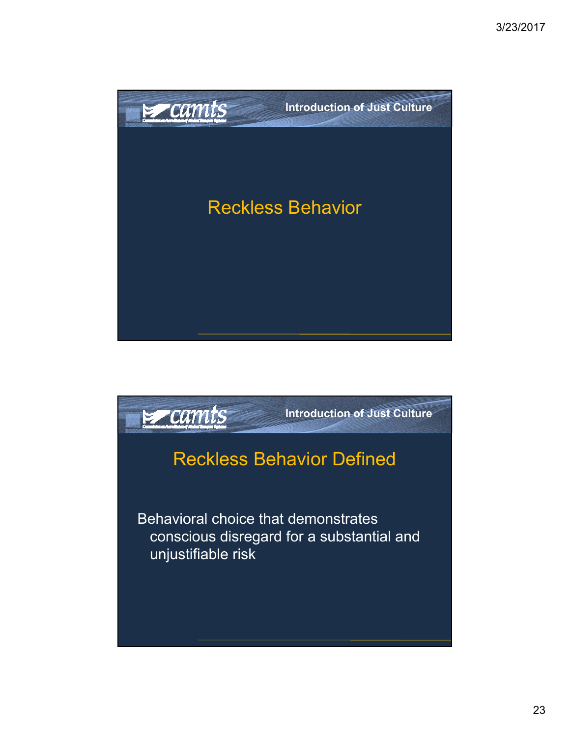

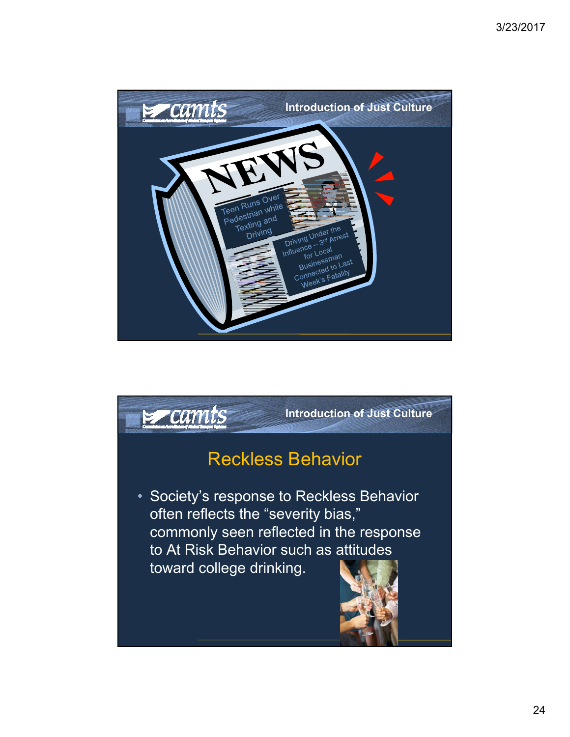

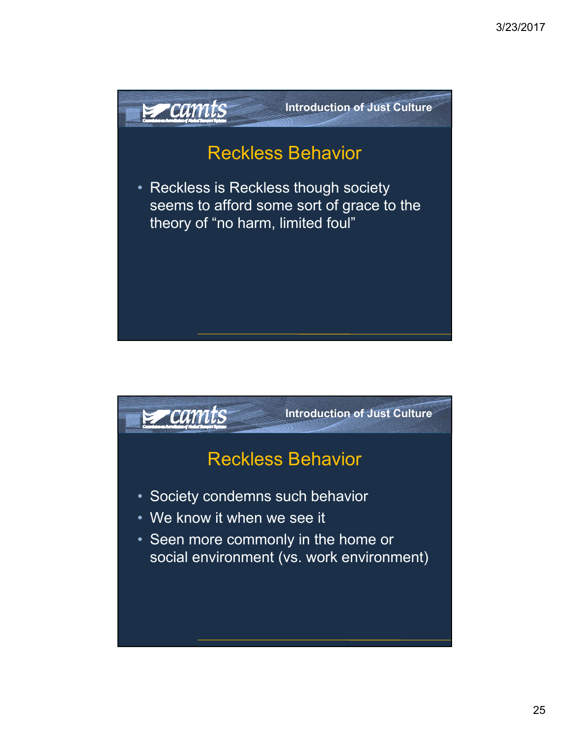

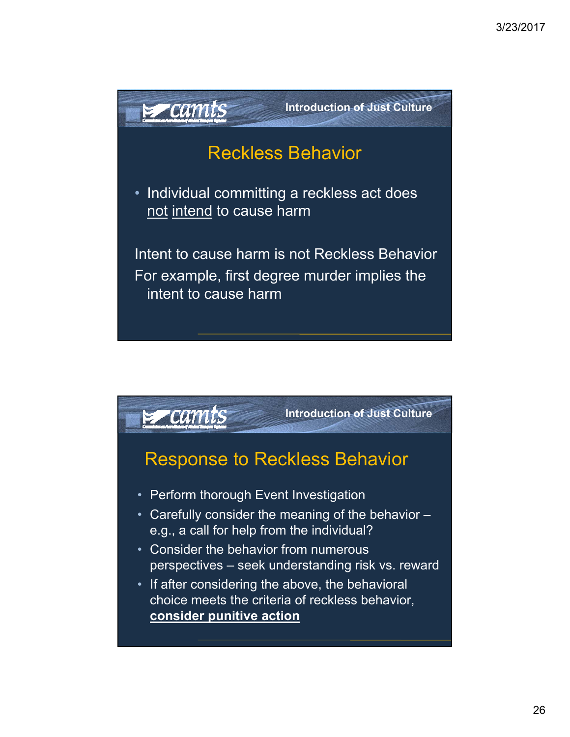

choice meets the criteria of reckless behavior, **consider punitive action**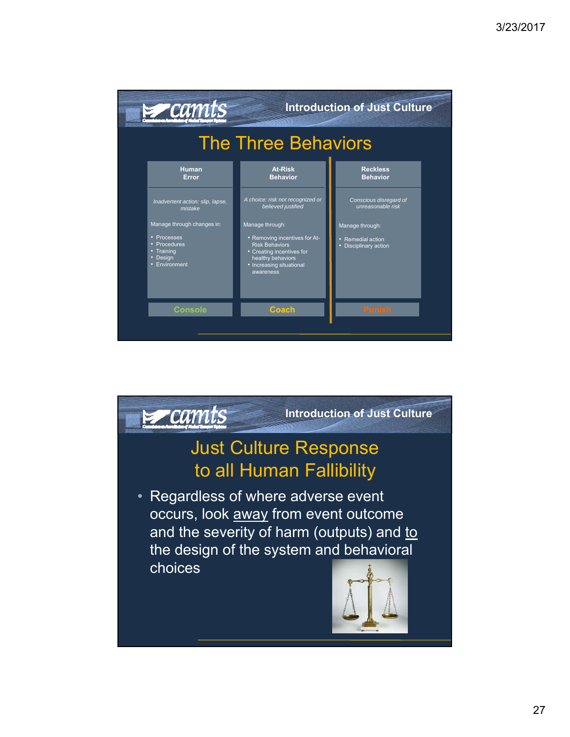

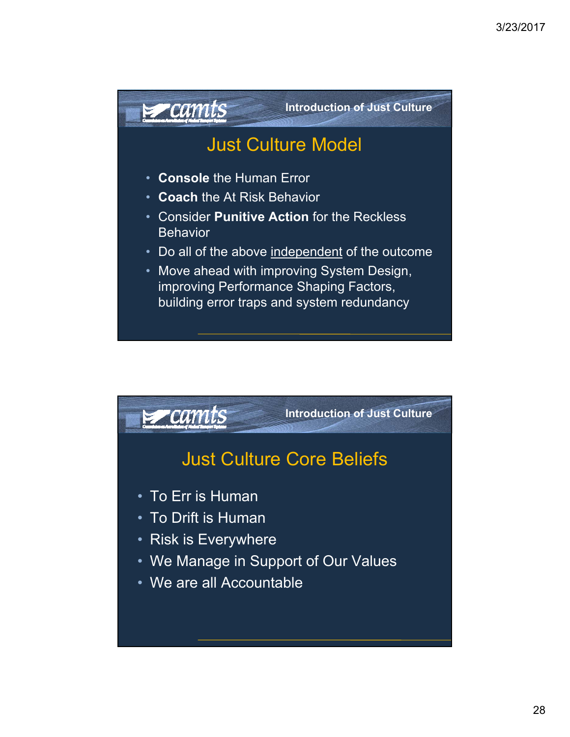

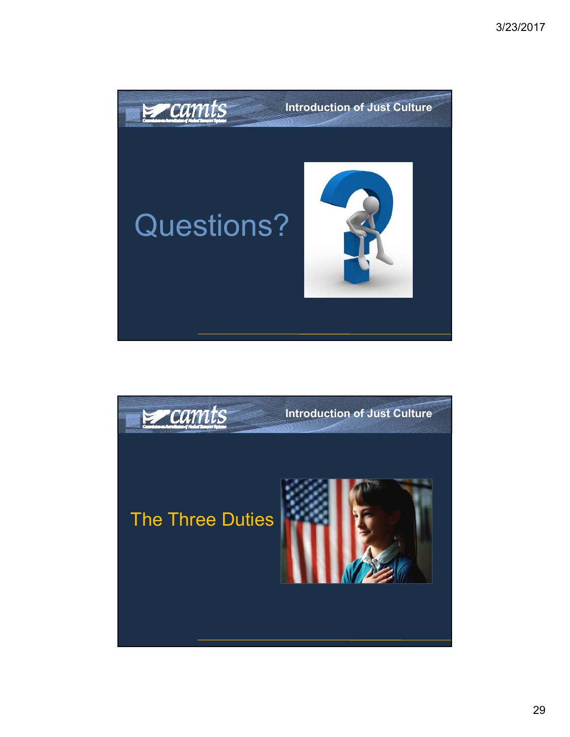

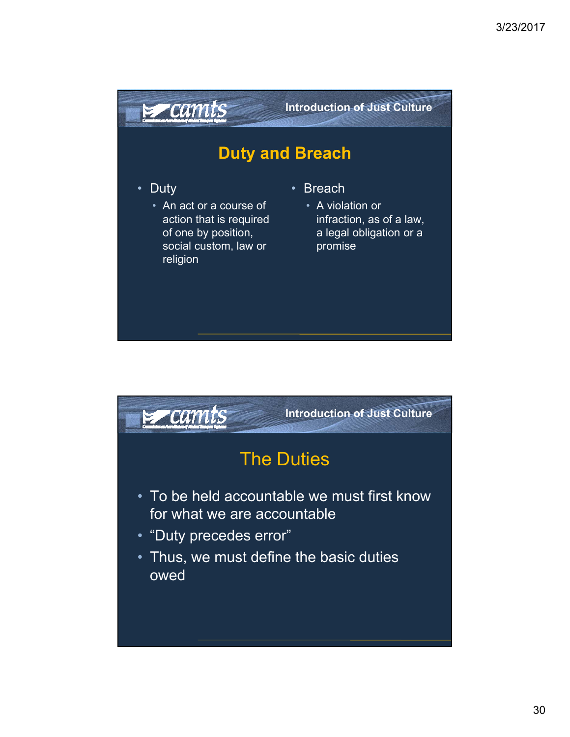

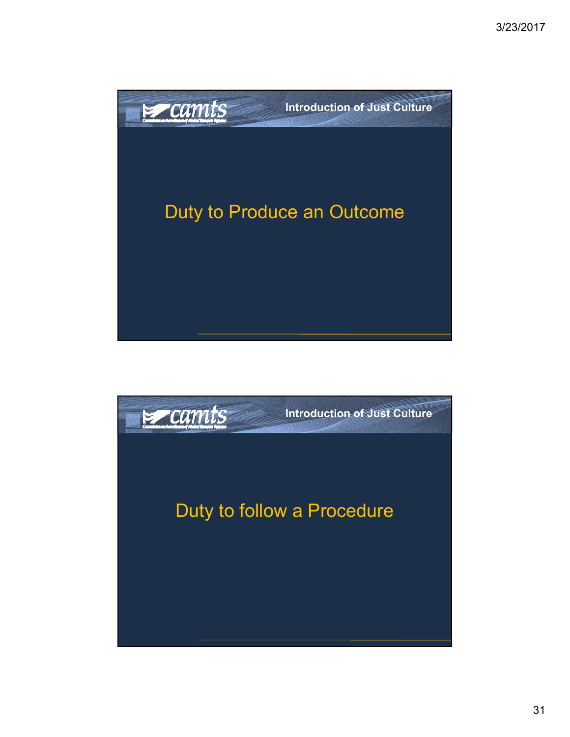

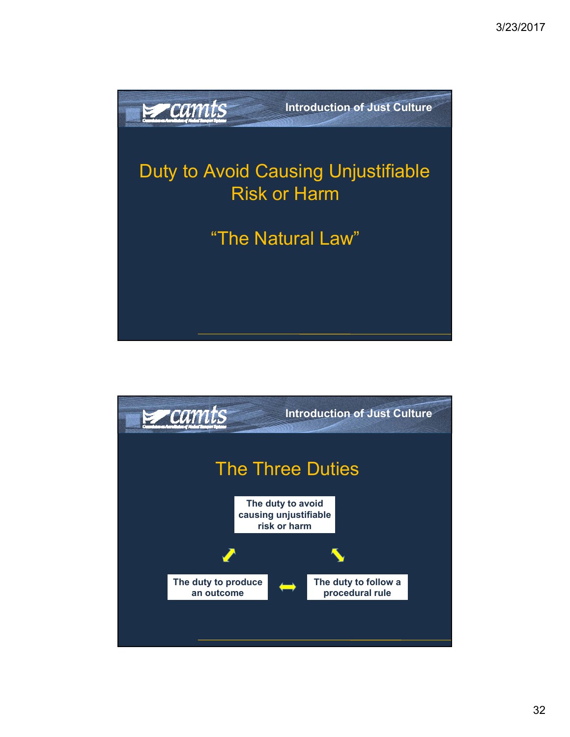

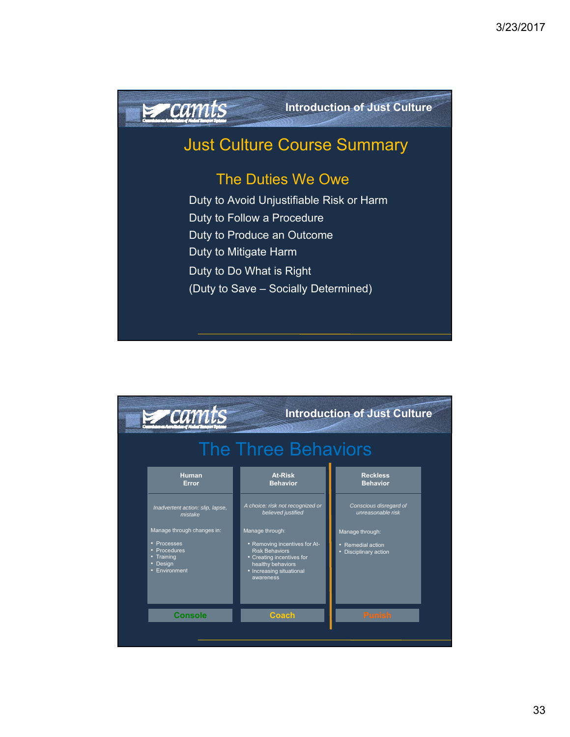

**Introduction of Just Culture**

## Just Culture Course Summary

## The Duties We Owe

Duty to Avoid Unjustifiable Risk or Harm Duty to Follow a Procedure Duty to Produce an Outcome Duty to Mitigate Harm Duty to Do What is Right (Duty to Save – Socially Determined)